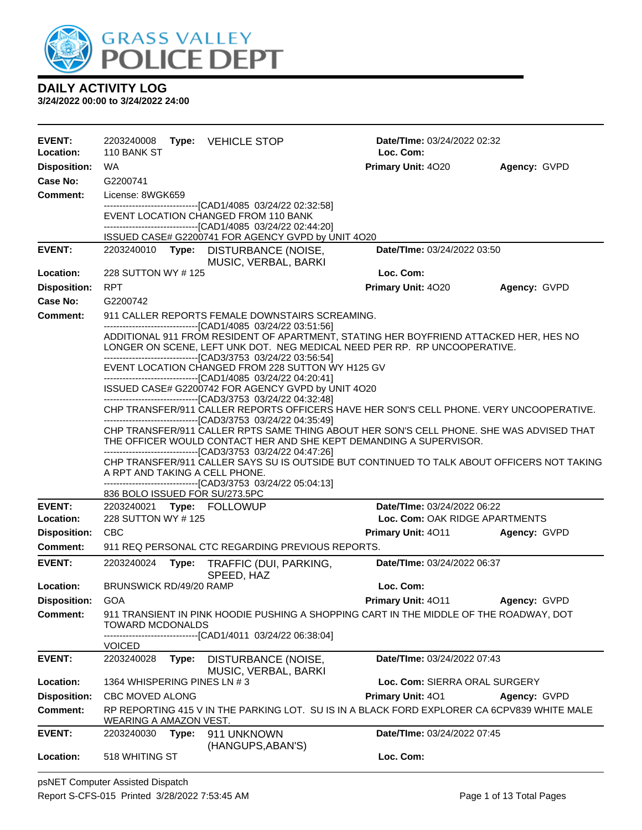

| <b>EVENT:</b><br>Location: | 2203240008<br>110 BANK ST                                                 |       | <b>Type:</b> VEHICLE STOP                                                                                                                                | Date/TIme: 03/24/2022 02:32<br>Loc. Com: |              |  |
|----------------------------|---------------------------------------------------------------------------|-------|----------------------------------------------------------------------------------------------------------------------------------------------------------|------------------------------------------|--------------|--|
| <b>Disposition:</b>        | WA.                                                                       |       |                                                                                                                                                          | Primary Unit: 4020                       | Agency: GVPD |  |
| Case No:                   | G2200741                                                                  |       |                                                                                                                                                          |                                          |              |  |
| <b>Comment:</b>            | License: 8WGK659                                                          |       |                                                                                                                                                          |                                          |              |  |
|                            |                                                                           |       | -------------------------------[CAD1/4085 03/24/22 02:32:58]                                                                                             |                                          |              |  |
|                            |                                                                           |       | EVENT LOCATION CHANGED FROM 110 BANK                                                                                                                     |                                          |              |  |
|                            |                                                                           |       | ------------------------------[CAD1/4085 03/24/22 02:44:20]<br>ISSUED CASE# G2200741 FOR AGENCY GVPD by UNIT 4O20                                        |                                          |              |  |
| <b>EVENT:</b>              |                                                                           |       | 2203240010 Type: DISTURBANCE (NOISE,                                                                                                                     | Date/TIme: 03/24/2022 03:50              |              |  |
|                            |                                                                           |       | MUSIC, VERBAL, BARKI                                                                                                                                     |                                          |              |  |
| Location:                  | 228 SUTTON WY #125                                                        |       |                                                                                                                                                          | Loc. Com:                                |              |  |
| <b>Disposition:</b>        | <b>RPT</b>                                                                |       |                                                                                                                                                          | Primary Unit: 4020                       | Agency: GVPD |  |
| Case No:                   | G2200742                                                                  |       |                                                                                                                                                          |                                          |              |  |
| <b>Comment:</b>            |                                                                           |       | 911 CALLER REPORTS FEMALE DOWNSTAIRS SCREAMING.<br>--------------------------------[CAD1/4085 03/24/22 03:51:56]                                         |                                          |              |  |
|                            |                                                                           |       | ADDITIONAL 911 FROM RESIDENT OF APARTMENT, STATING HER BOYFRIEND ATTACKED HER, HES NO                                                                    |                                          |              |  |
|                            | LONGER ON SCENE, LEFT UNK DOT. NEG MEDICAL NEED PER RP. RP UNCOOPERATIVE. |       |                                                                                                                                                          |                                          |              |  |
|                            |                                                                           |       | --------------------------------[CAD3/3753 03/24/22 03:56:54]<br>EVENT LOCATION CHANGED FROM 228 SUTTON WY H125 GV                                       |                                          |              |  |
|                            |                                                                           |       | -------------------------------[CAD1/4085 03/24/22 04:20:41]                                                                                             |                                          |              |  |
|                            |                                                                           |       | ISSUED CASE# G2200742 FOR AGENCY GVPD by UNIT 4O20                                                                                                       |                                          |              |  |
|                            |                                                                           |       | --------------------------------[CAD3/3753 03/24/22 04:32:48]<br>CHP TRANSFER/911 CALLER REPORTS OFFICERS HAVE HER SON'S CELL PHONE. VERY UNCOOPERATIVE. |                                          |              |  |
|                            |                                                                           |       | --------------------------------[CAD3/3753 03/24/22 04:35:49]                                                                                            |                                          |              |  |
|                            |                                                                           |       | CHP TRANSFER/911 CALLER RPTS SAME THING ABOUT HER SON'S CELL PHONE. SHE WAS ADVISED THAT                                                                 |                                          |              |  |
|                            |                                                                           |       | THE OFFICER WOULD CONTACT HER AND SHE KEPT DEMANDING A SUPERVISOR.<br>-------------------------------[CAD3/3753 03/24/22 04:47:26]                       |                                          |              |  |
|                            |                                                                           |       | CHP TRANSFER/911 CALLER SAYS SU IS OUTSIDE BUT CONTINUED TO TALK ABOUT OFFICERS NOT TAKING                                                               |                                          |              |  |
|                            | A RPT AND TAKING A CELL PHONE.                                            |       |                                                                                                                                                          |                                          |              |  |
|                            | 836 BOLO ISSUED FOR SU/273.5PC                                            |       | --------------------------------[CAD3/3753 03/24/22 05:04:13]                                                                                            |                                          |              |  |
| <b>EVENT:</b>              | 2203240021 Type: FOLLOWUP                                                 |       |                                                                                                                                                          | Date/TIme: 03/24/2022 06:22              |              |  |
| Location:                  | 228 SUTTON WY #125                                                        |       |                                                                                                                                                          | Loc. Com: OAK RIDGE APARTMENTS           |              |  |
| <b>Disposition:</b>        | <b>CBC</b>                                                                |       |                                                                                                                                                          | <b>Primary Unit: 4011</b>                | Agency: GVPD |  |
| <b>Comment:</b>            |                                                                           |       | 911 REQ PERSONAL CTC REGARDING PREVIOUS REPORTS.                                                                                                         |                                          |              |  |
| <b>EVENT:</b>              | 2203240024                                                                | Type: | TRAFFIC (DUI, PARKING,<br>SPEED, HAZ                                                                                                                     | Date/TIme: 03/24/2022 06:37              |              |  |
| Location:                  | BRUNSWICK RD/49/20 RAMP                                                   |       |                                                                                                                                                          | Loc. Com:                                |              |  |
| <b>Disposition:</b>        | <b>GOA</b>                                                                |       |                                                                                                                                                          | <b>Primary Unit: 4011</b>                | Agency: GVPD |  |
| Comment:                   | <b>TOWARD MCDONALDS</b>                                                   |       | 911 TRANSIENT IN PINK HOODIE PUSHING A SHOPPING CART IN THE MIDDLE OF THE ROADWAY, DOT                                                                   |                                          |              |  |
|                            |                                                                           |       | ------------------------[CAD1/4011_03/24/22_06:38:04]                                                                                                    |                                          |              |  |
|                            | <b>VOICED</b>                                                             |       |                                                                                                                                                          |                                          |              |  |
| <b>EVENT:</b>              | 2203240028                                                                | Type: | DISTURBANCE (NOISE,                                                                                                                                      | Date/TIme: 03/24/2022 07:43              |              |  |
| Location:                  | 1364 WHISPERING PINES LN #3                                               |       | MUSIC, VERBAL, BARKI                                                                                                                                     | Loc. Com: SIERRA ORAL SURGERY            |              |  |
| <b>Disposition:</b>        | CBC MOVED ALONG                                                           |       |                                                                                                                                                          | Primary Unit: 401                        | Agency: GVPD |  |
| Comment:                   |                                                                           |       | RP REPORTING 415 V IN THE PARKING LOT. SU IS IN A BLACK FORD EXPLORER CA 6CPV839 WHITE MALE                                                              |                                          |              |  |
|                            | WEARING A AMAZON VEST.                                                    |       |                                                                                                                                                          |                                          |              |  |
| <b>EVENT:</b>              | 2203240030                                                                | Type: | 911 UNKNOWN<br>(HANGUPS, ABAN'S)                                                                                                                         | Date/TIme: 03/24/2022 07:45              |              |  |
| Location:                  | 518 WHITING ST                                                            |       |                                                                                                                                                          | Loc. Com:                                |              |  |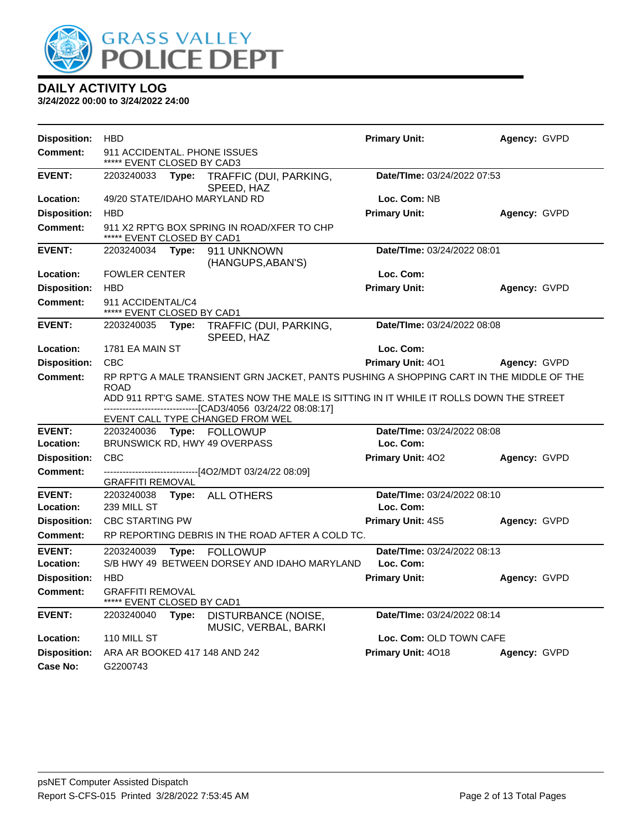

| Disposition:               | <b>HBD</b>                                                 |       |                                                                                                                                                                                                                                                                                           | <b>Primary Unit:</b>                     | Agency: GVPD |
|----------------------------|------------------------------------------------------------|-------|-------------------------------------------------------------------------------------------------------------------------------------------------------------------------------------------------------------------------------------------------------------------------------------------|------------------------------------------|--------------|
| <b>Comment:</b>            | 911 ACCIDENTAL. PHONE ISSUES<br>***** EVENT CLOSED BY CAD3 |       |                                                                                                                                                                                                                                                                                           |                                          |              |
| <b>EVENT:</b>              | 2203240033                                                 | Type: | TRAFFIC (DUI, PARKING,<br>SPEED, HAZ                                                                                                                                                                                                                                                      | Date/TIme: 03/24/2022 07:53              |              |
| Location:                  |                                                            |       | 49/20 STATE/IDAHO MARYLAND RD                                                                                                                                                                                                                                                             | Loc. Com: NB                             |              |
| <b>Disposition:</b>        | <b>HBD</b>                                                 |       |                                                                                                                                                                                                                                                                                           | <b>Primary Unit:</b>                     | Agency: GVPD |
| Comment:                   | ***** EVENT CLOSED BY CAD1                                 |       | 911 X2 RPT'G BOX SPRING IN ROAD/XFER TO CHP                                                                                                                                                                                                                                               |                                          |              |
| <b>EVENT:</b>              | 2203240034                                                 | Type: | 911 UNKNOWN<br>(HANGUPS, ABAN'S)                                                                                                                                                                                                                                                          | Date/TIme: 03/24/2022 08:01              |              |
| Location:                  | <b>FOWLER CENTER</b>                                       |       |                                                                                                                                                                                                                                                                                           | Loc. Com:                                |              |
| <b>Disposition:</b>        | <b>HBD</b>                                                 |       |                                                                                                                                                                                                                                                                                           | <b>Primary Unit:</b>                     | Agency: GVPD |
| <b>Comment:</b>            | 911 ACCIDENTAL/C4<br>***** EVENT CLOSED BY CAD1            |       |                                                                                                                                                                                                                                                                                           |                                          |              |
| <b>EVENT:</b>              | 2203240035                                                 | Type: | TRAFFIC (DUI, PARKING,<br>SPEED, HAZ                                                                                                                                                                                                                                                      | Date/TIme: 03/24/2022 08:08              |              |
| Location:                  | 1781 EA MAIN ST                                            |       |                                                                                                                                                                                                                                                                                           | Loc. Com:                                |              |
| <b>Disposition:</b>        | <b>CBC</b>                                                 |       |                                                                                                                                                                                                                                                                                           | <b>Primary Unit: 401</b>                 | Agency: GVPD |
| <b>Comment:</b>            | <b>ROAD</b>                                                |       | RP RPT'G A MALE TRANSIENT GRN JACKET, PANTS PUSHING A SHOPPING CART IN THE MIDDLE OF THE<br>ADD 911 RPT'G SAME. STATES NOW THE MALE IS SITTING IN IT WHILE IT ROLLS DOWN THE STREET<br>---------------------------------[CAD3/4056_03/24/22_08:08:17]<br>EVENT CALL TYPE CHANGED FROM WEL |                                          |              |
| <b>EVENT:</b><br>Location: | 2203240036                                                 |       | Type: FOLLOWUP<br>BRUNSWICK RD, HWY 49 OVERPASS                                                                                                                                                                                                                                           | Date/TIme: 03/24/2022 08:08<br>Loc. Com: |              |
| <b>Disposition:</b>        | <b>CBC</b>                                                 |       |                                                                                                                                                                                                                                                                                           | Primary Unit: 402                        | Agency: GVPD |
| <b>Comment:</b>            | <b>GRAFFITI REMOVAL</b>                                    |       | -------------------------------[4O2/MDT 03/24/22 08:09]                                                                                                                                                                                                                                   |                                          |              |
| <b>EVENT:</b>              | 2203240038                                                 | Type: | <b>ALL OTHERS</b>                                                                                                                                                                                                                                                                         | Date/TIme: 03/24/2022 08:10              |              |
| Location:                  | 239 MILL ST                                                |       |                                                                                                                                                                                                                                                                                           | Loc. Com:                                |              |
| <b>Disposition:</b>        | <b>CBC STARTING PW</b>                                     |       |                                                                                                                                                                                                                                                                                           | <b>Primary Unit: 4S5</b>                 | Agency: GVPD |
| <b>Comment:</b>            |                                                            |       | RP REPORTING DEBRIS IN THE ROAD AFTER A COLD TC.                                                                                                                                                                                                                                          |                                          |              |
| <b>EVENT:</b><br>Location: | 2203240039                                                 | Type: | <b>FOLLOWUP</b><br>S/B HWY 49 BETWEEN DORSEY AND IDAHO MARYLAND                                                                                                                                                                                                                           | Date/TIme: 03/24/2022 08:13<br>Loc. Com: |              |
| <b>Disposition:</b>        | <b>HBD</b>                                                 |       |                                                                                                                                                                                                                                                                                           | <b>Primary Unit:</b>                     | Agency: GVPD |
| Comment:                   | <b>GRAFFITI REMOVAL</b><br>***** EVENT CLOSED BY CAD1      |       |                                                                                                                                                                                                                                                                                           |                                          |              |
| <b>EVENT:</b>              | 2203240040                                                 | Type: | DISTURBANCE (NOISE,<br>MUSIC, VERBAL, BARKI                                                                                                                                                                                                                                               | Date/TIme: 03/24/2022 08:14              |              |
| Location:                  | 110 MILL ST                                                |       |                                                                                                                                                                                                                                                                                           | Loc. Com: OLD TOWN CAFE                  |              |
| <b>Disposition:</b>        |                                                            |       | ARA AR BOOKED 417 148 AND 242                                                                                                                                                                                                                                                             | Primary Unit: 4018                       | Agency: GVPD |
| Case No:                   | G2200743                                                   |       |                                                                                                                                                                                                                                                                                           |                                          |              |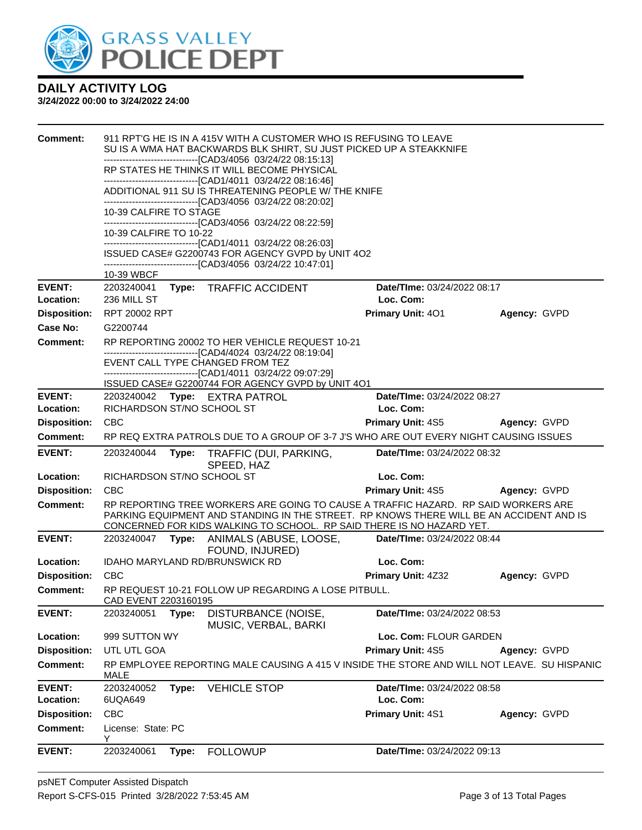

| <b>Comment:</b>     |                            |       | 911 RPT'G HE IS IN A 415V WITH A CUSTOMER WHO IS REFUSING TO LEAVE<br>SU IS A WMA HAT BACKWARDS BLK SHIRT, SU JUST PICKED UP A STEAKKNIFE                                                                                                              |                             |              |
|---------------------|----------------------------|-------|--------------------------------------------------------------------------------------------------------------------------------------------------------------------------------------------------------------------------------------------------------|-----------------------------|--------------|
|                     |                            |       | --------------------------------[CAD3/4056 03/24/22 08:15:13]                                                                                                                                                                                          |                             |              |
|                     |                            |       | RP STATES HE THINKS IT WILL BECOME PHYSICAL<br>-------------------------------[CAD1/4011 03/24/22 08:16:46]                                                                                                                                            |                             |              |
|                     |                            |       | ADDITIONAL 911 SU IS THREATENING PEOPLE W/ THE KNIFE<br>-------------------------------[CAD3/4056_03/24/22_08:20:02]                                                                                                                                   |                             |              |
|                     | 10-39 CALFIRE TO STAGE     |       |                                                                                                                                                                                                                                                        |                             |              |
|                     | 10-39 CALFIRE TO 10-22     |       | -------------------------------[CAD3/4056 03/24/22 08:22:59]<br>-------------------------------[CAD1/4011 03/24/22 08:26:03]                                                                                                                           |                             |              |
|                     |                            |       | ISSUED CASE# G2200743 FOR AGENCY GVPD by UNIT 4O2                                                                                                                                                                                                      |                             |              |
|                     | 10-39 WBCF                 |       | --------------------------------[CAD3/4056 03/24/22 10:47:01]                                                                                                                                                                                          |                             |              |
| <b>EVENT:</b>       | 2203240041                 |       | Type: TRAFFIC ACCIDENT                                                                                                                                                                                                                                 | Date/TIme: 03/24/2022 08:17 |              |
| Location:           | 236 MILL ST                |       |                                                                                                                                                                                                                                                        | Loc. Com:                   |              |
| <b>Disposition:</b> | <b>RPT 20002 RPT</b>       |       |                                                                                                                                                                                                                                                        | Primary Unit: 401           | Agency: GVPD |
| Case No:            | G2200744                   |       |                                                                                                                                                                                                                                                        |                             |              |
| <b>Comment:</b>     |                            |       | RP REPORTING 20002 TO HER VEHICLE REQUEST 10-21<br>-------------------------------[CAD4/4024 03/24/22 08:19:04]                                                                                                                                        |                             |              |
|                     |                            |       | EVENT CALL TYPE CHANGED FROM TEZ                                                                                                                                                                                                                       |                             |              |
|                     |                            |       | -------------------------------[CAD1/4011 03/24/22 09:07:29]<br>ISSUED CASE# G2200744 FOR AGENCY GVPD by UNIT 4O1                                                                                                                                      |                             |              |
| <b>EVENT:</b>       |                            |       | 2203240042 Type: EXTRA PATROL                                                                                                                                                                                                                          | Date/TIme: 03/24/2022 08:27 |              |
| Location:           | RICHARDSON ST/NO SCHOOL ST |       |                                                                                                                                                                                                                                                        | Loc. Com:                   |              |
| <b>Disposition:</b> | <b>CBC</b>                 |       |                                                                                                                                                                                                                                                        | <b>Primary Unit: 4S5</b>    | Agency: GVPD |
| <b>Comment:</b>     |                            |       | RP REQ EXTRA PATROLS DUE TO A GROUP OF 3-7 J'S WHO ARE OUT EVERY NIGHT CAUSING ISSUES                                                                                                                                                                  |                             |              |
| <b>EVENT:</b>       | 2203240044                 | Type: | TRAFFIC (DUI, PARKING,<br>SPEED, HAZ                                                                                                                                                                                                                   | Date/TIme: 03/24/2022 08:32 |              |
| Location:           | RICHARDSON ST/NO SCHOOL ST |       |                                                                                                                                                                                                                                                        | Loc. Com:                   |              |
| <b>Disposition:</b> | CBC                        |       |                                                                                                                                                                                                                                                        | <b>Primary Unit: 4S5</b>    | Agency: GVPD |
| <b>Comment:</b>     |                            |       | RP REPORTING TREE WORKERS ARE GOING TO CAUSE A TRAFFIC HAZARD. RP SAID WORKERS ARE<br>PARKING EQUIPMENT AND STANDING IN THE STREET. RP KNOWS THERE WILL BE AN ACCIDENT AND IS<br>CONCERNED FOR KIDS WALKING TO SCHOOL. RP SAID THERE IS NO HAZARD YET. |                             |              |
| <b>EVENT:</b>       |                            |       | 2203240047 Type: ANIMALS (ABUSE, LOOSE,<br>FOUND, INJURED)                                                                                                                                                                                             | Date/TIme: 03/24/2022 08:44 |              |
| Location:           |                            |       | IDAHO MARYLAND RD/BRUNSWICK RD                                                                                                                                                                                                                         | Loc. Com:                   |              |
| <b>Disposition:</b> | <b>CBC</b>                 |       |                                                                                                                                                                                                                                                        |                             |              |
|                     |                            |       |                                                                                                                                                                                                                                                        | Primary Unit: 4Z32          | Agency: GVPD |
| <b>Comment:</b>     | CAD EVENT 2203160195       |       | RP REQUEST 10-21 FOLLOW UP REGARDING A LOSE PITBULL.                                                                                                                                                                                                   |                             |              |
| <b>EVENT:</b>       | 2203240051                 | Type: | DISTURBANCE (NOISE,                                                                                                                                                                                                                                    | Date/TIme: 03/24/2022 08:53 |              |
| Location:           | 999 SUTTON WY              |       | MUSIC, VERBAL, BARKI                                                                                                                                                                                                                                   | Loc. Com: FLOUR GARDEN      |              |
| <b>Disposition:</b> | UTL UTL GOA                |       |                                                                                                                                                                                                                                                        | <b>Primary Unit: 4S5</b>    | Agency: GVPD |
| <b>Comment:</b>     | MALE                       |       | RP EMPLOYEE REPORTING MALE CAUSING A 415 V INSIDE THE STORE AND WILL NOT LEAVE. SU HISPANIC                                                                                                                                                            |                             |              |
| <b>EVENT:</b>       | 2203240052                 | Type: | <b>VEHICLE STOP</b>                                                                                                                                                                                                                                    | Date/TIme: 03/24/2022 08:58 |              |
| <b>Location:</b>    | 6UQA649                    |       |                                                                                                                                                                                                                                                        | Loc. Com:                   |              |
| <b>Disposition:</b> | <b>CBC</b>                 |       |                                                                                                                                                                                                                                                        | Primary Unit: 4S1           | Agency: GVPD |
| Comment:            | License: State: PC<br>Y    |       |                                                                                                                                                                                                                                                        |                             |              |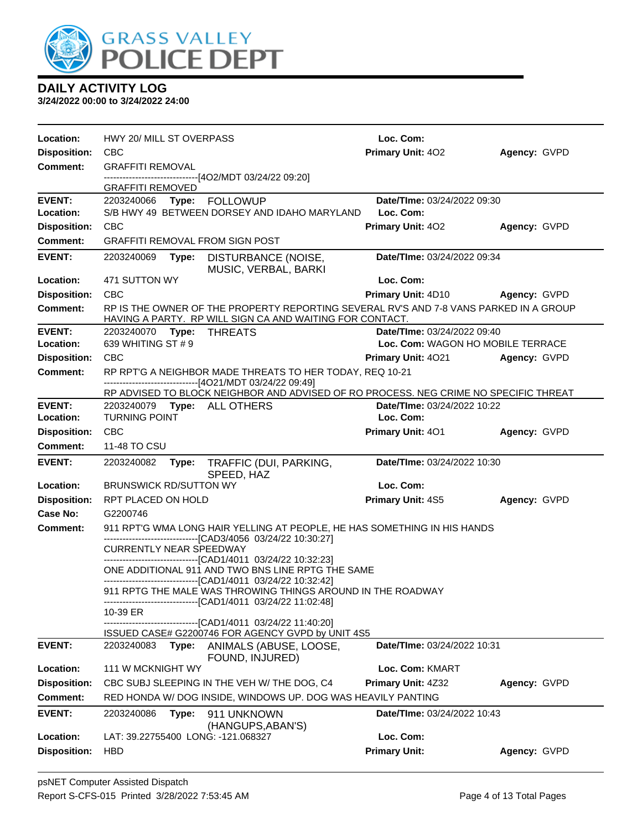

| Location:                  | HWY 20/ MILL ST OVERPASS                                                                                                                           | Loc. Com:                                |              |
|----------------------------|----------------------------------------------------------------------------------------------------------------------------------------------------|------------------------------------------|--------------|
| <b>Disposition:</b>        | <b>CBC</b>                                                                                                                                         | <b>Primary Unit: 402</b>                 | Agency: GVPD |
| Comment:                   | <b>GRAFFITI REMOVAL</b>                                                                                                                            |                                          |              |
|                            | -------------------------------[4O2/MDT 03/24/22 09:20]<br><b>GRAFFITI REMOVED</b>                                                                 |                                          |              |
| <b>EVENT:</b>              | 2203240066 Type: FOLLOWUP                                                                                                                          | Date/TIme: 03/24/2022 09:30              |              |
| Location:                  | S/B HWY 49 BETWEEN DORSEY AND IDAHO MARYLAND                                                                                                       | Loc. Com:                                |              |
| <b>Disposition:</b>        | CBC                                                                                                                                                | <b>Primary Unit: 402</b>                 | Agency: GVPD |
| <b>Comment:</b>            | <b>GRAFFITI REMOVAL FROM SIGN POST</b>                                                                                                             |                                          |              |
| <b>EVENT:</b>              | 2203240069<br>Type:<br>DISTURBANCE (NOISE,<br>MUSIC, VERBAL, BARKI                                                                                 | Date/TIme: 03/24/2022 09:34              |              |
| Location:                  | 471 SUTTON WY                                                                                                                                      | Loc. Com:                                |              |
| <b>Disposition:</b>        | <b>CBC</b>                                                                                                                                         | <b>Primary Unit: 4D10</b>                | Agency: GVPD |
| <b>Comment:</b>            | RP IS THE OWNER OF THE PROPERTY REPORTING SEVERAL RV'S AND 7-8 VANS PARKED IN A GROUP<br>HAVING A PARTY. RP WILL SIGN CA AND WAITING FOR CONTACT.  |                                          |              |
| <b>EVENT:</b>              | 2203240070<br>Type:<br>THREATS                                                                                                                     | Date/TIme: 03/24/2022 09:40              |              |
| Location:                  | 639 WHITING ST # 9                                                                                                                                 | Loc. Com: WAGON HO MOBILE TERRACE        |              |
| <b>Disposition:</b>        | <b>CBC</b>                                                                                                                                         | <b>Primary Unit: 4021</b>                | Agency: GVPD |
| Comment:                   | RP RPT'G A NEIGHBOR MADE THREATS TO HER TODAY, REQ 10-21<br>------------------------[4O21/MDT 03/24/22 09:49]                                      |                                          |              |
|                            | RP ADVISED TO BLOCK NEIGHBOR AND ADVISED OF RO PROCESS. NEG CRIME NO SPECIFIC THREAT                                                               |                                          |              |
| <b>EVENT:</b><br>Location: | 2203240079<br>Type: ALL OTHERS<br><b>TURNING POINT</b>                                                                                             | Date/TIme: 03/24/2022 10:22<br>Loc. Com: |              |
| <b>Disposition:</b>        | <b>CBC</b>                                                                                                                                         | Primary Unit: 401                        | Agency: GVPD |
| <b>Comment:</b>            | 11-48 TO CSU                                                                                                                                       |                                          |              |
| <b>EVENT:</b>              | 2203240082<br>Type:<br>TRAFFIC (DUI, PARKING,<br>SPEED, HAZ                                                                                        | Date/TIme: 03/24/2022 10:30              |              |
| Location:                  | <b>BRUNSWICK RD/SUTTON WY</b>                                                                                                                      | Loc. Com:                                |              |
| <b>Disposition:</b>        | RPT PLACED ON HOLD                                                                                                                                 | Primary Unit: 4S5                        | Agency: GVPD |
| Case No:                   | G2200746                                                                                                                                           |                                          |              |
| Comment:                   | 911 RPT'G WMA LONG HAIR YELLING AT PEOPLE, HE HAS SOMETHING IN HIS HANDS                                                                           |                                          |              |
|                            | -------------------------[CAD3/4056 03/24/22 10:30:27]<br><b>CURRENTLY NEAR SPEEDWAY</b><br>-------------------------[CAD1/4011 03/24/22 10:32:23] |                                          |              |
|                            | ONE ADDITIONAL 911 AND TWO BNS LINE RPTG THE SAME                                                                                                  |                                          |              |
|                            | -------------------------------[CAD1/4011 03/24/22 10:32:42]                                                                                       |                                          |              |
|                            | 911 RPTG THE MALE WAS THROWING THINGS AROUND IN THE ROADWAY<br>-------------------------------[CAD1/4011 03/24/22 11:02:48]                        |                                          |              |
|                            | 10-39 ER                                                                                                                                           |                                          |              |
|                            | --------------[CAD1/4011 03/24/22 11:40:20]<br>ISSUED CASE# G2200746 FOR AGENCY GVPD by UNIT 4S5                                                   |                                          |              |
| <b>EVENT:</b>              | 2203240083<br>Type:<br>ANIMALS (ABUSE, LOOSE,<br>FOUND, INJURED)                                                                                   | Date/TIme: 03/24/2022 10:31              |              |
| Location:                  | 111 W MCKNIGHT WY                                                                                                                                  | Loc. Com: KMART                          |              |
| <b>Disposition:</b>        | CBC SUBJ SLEEPING IN THE VEH W/ THE DOG, C4                                                                                                        | Primary Unit: 4Z32                       | Agency: GVPD |
| <b>Comment:</b>            | RED HONDA W/ DOG INSIDE, WINDOWS UP. DOG WAS HEAVILY PANTING                                                                                       |                                          |              |
| <b>EVENT:</b>              | 2203240086<br>Type:<br>911 UNKNOWN<br>(HANGUPS, ABAN'S)                                                                                            | Date/TIme: 03/24/2022 10:43              |              |
| Location:                  | LAT: 39.22755400 LONG: -121.068327                                                                                                                 | Loc. Com:                                |              |
| <b>Disposition:</b>        | <b>HBD</b>                                                                                                                                         | <b>Primary Unit:</b>                     | Agency: GVPD |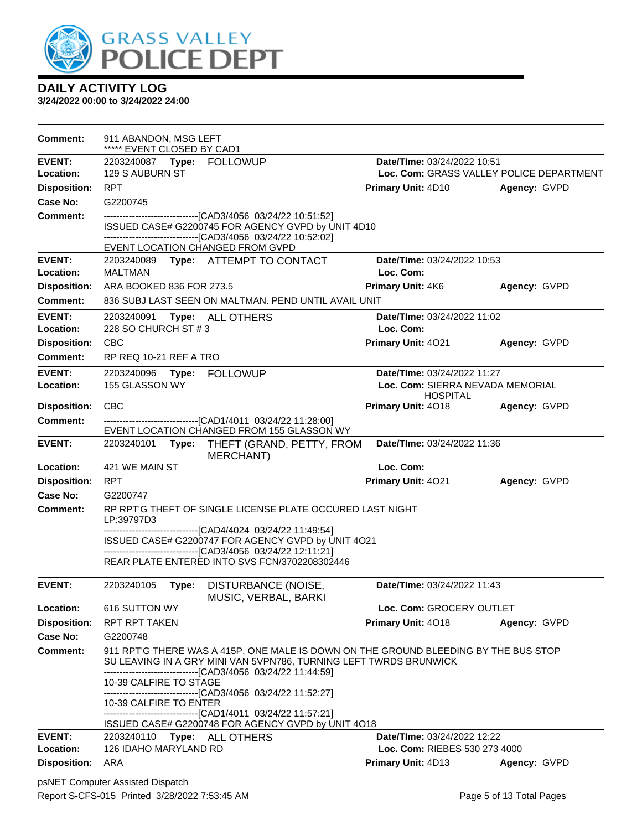

**3/24/2022 00:00 to 3/24/2022 24:00**

| <b>Comment:</b>            | 911 ABANDON, MSG LEFT<br>***** EVENT CLOSED BY CAD1                                                                                                                                 |                                                                                                                                                          |              |  |  |  |
|----------------------------|-------------------------------------------------------------------------------------------------------------------------------------------------------------------------------------|----------------------------------------------------------------------------------------------------------------------------------------------------------|--------------|--|--|--|
| <b>EVENT:</b>              |                                                                                                                                                                                     | Date/TIme: 03/24/2022 10:51                                                                                                                              |              |  |  |  |
| Location:                  | 129 S AUBURN ST                                                                                                                                                                     | Loc. Com: GRASS VALLEY POLICE DEPARTMENT                                                                                                                 |              |  |  |  |
| <b>Disposition:</b>        | <b>RPT</b>                                                                                                                                                                          | <b>Primary Unit: 4D10</b>                                                                                                                                | Agency: GVPD |  |  |  |
| Case No:                   | G2200745                                                                                                                                                                            |                                                                                                                                                          |              |  |  |  |
| <b>Comment:</b>            | --------------------------------[CAD3/4056 03/24/22 10:51:52]<br>ISSUED CASE# G2200745 FOR AGENCY GVPD by UNIT 4D10<br>-------------------------------[CAD3/4056 03/24/22 10:52:02] |                                                                                                                                                          |              |  |  |  |
|                            | EVENT LOCATION CHANGED FROM GVPD                                                                                                                                                    |                                                                                                                                                          |              |  |  |  |
| <b>EVENT:</b>              | 2203240089 Type: ATTEMPT TO CONTACT                                                                                                                                                 | Date/TIme: 03/24/2022 10:53                                                                                                                              |              |  |  |  |
| Location:                  | <b>MALTMAN</b>                                                                                                                                                                      | Loc. Com:                                                                                                                                                |              |  |  |  |
| <b>Disposition:</b>        | ARA BOOKED 836 FOR 273.5                                                                                                                                                            | <b>Primary Unit: 4K6</b>                                                                                                                                 | Agency: GVPD |  |  |  |
| <b>Comment:</b>            | 836 SUBJ LAST SEEN ON MALTMAN. PEND UNTIL AVAIL UNIT                                                                                                                                |                                                                                                                                                          |              |  |  |  |
| <b>EVENT:</b>              | 2203240091<br><b>Type: ALL OTHERS</b>                                                                                                                                               | Date/TIme: 03/24/2022 11:02                                                                                                                              |              |  |  |  |
| Location:                  | 228 SO CHURCH ST # 3                                                                                                                                                                | Loc. Com:                                                                                                                                                |              |  |  |  |
| <b>Disposition:</b>        | CBC                                                                                                                                                                                 | Primary Unit: 4021                                                                                                                                       | Agency: GVPD |  |  |  |
| <b>Comment:</b>            | RP REQ 10-21 REF A TRO                                                                                                                                                              |                                                                                                                                                          |              |  |  |  |
| <b>EVENT:</b><br>Location: | 155 GLASSON WY                                                                                                                                                                      | Date/TIme: 03/24/2022 11:27<br>Loc. Com: SIERRA NEVADA MEMORIAL<br><b>HOSPITAL</b>                                                                       |              |  |  |  |
| <b>Disposition:</b>        | <b>CBC</b>                                                                                                                                                                          | Primary Unit: 4018                                                                                                                                       | Agency: GVPD |  |  |  |
| <b>Comment:</b>            | ---------------------------------[CAD1/4011 03/24/22 11:28:00]                                                                                                                      |                                                                                                                                                          |              |  |  |  |
|                            | EVENT LOCATION CHANGED FROM 155 GLASSON WY                                                                                                                                          |                                                                                                                                                          |              |  |  |  |
| <b>EVENT:</b>              | 2203240101<br>Type:<br>THEFT (GRAND, PETTY, FROM<br><b>MERCHANT)</b>                                                                                                                | Date/TIme: 03/24/2022 11:36                                                                                                                              |              |  |  |  |
| Location:                  | 421 WE MAIN ST                                                                                                                                                                      | Loc. Com:                                                                                                                                                |              |  |  |  |
| <b>Disposition:</b>        | <b>RPT</b>                                                                                                                                                                          | Primary Unit: 4021                                                                                                                                       | Agency: GVPD |  |  |  |
| <b>Case No:</b>            | G2200747                                                                                                                                                                            |                                                                                                                                                          |              |  |  |  |
| Comment:                   | RP RPT'G THEFT OF SINGLE LICENSE PLATE OCCURED LAST NIGHT<br>LP:39797D3                                                                                                             |                                                                                                                                                          |              |  |  |  |
|                            | -------------------------------[CAD4/4024 03/24/22 11:49:54]<br>ISSUED CASE# G2200747 FOR AGENCY GVPD by UNIT 4O21<br>-------------------------------[CAD3/4056_03/24/22 12:11:21]  |                                                                                                                                                          |              |  |  |  |
|                            | REAR PLATE ENTERED INTO SVS FCN/3702208302446                                                                                                                                       |                                                                                                                                                          |              |  |  |  |
| <b>EVENT:</b>              | 2203240105<br>DISTURBANCE (NOISE,<br>Type:<br>MUSIC, VERBAL, BARKI                                                                                                                  | Date/TIme: 03/24/2022 11:43                                                                                                                              |              |  |  |  |
| Location:                  | 616 SUTTON WY                                                                                                                                                                       | Loc. Com: GROCERY OUTLET                                                                                                                                 |              |  |  |  |
| <b>Disposition:</b>        | <b>RPT RPT TAKEN</b>                                                                                                                                                                | <b>Primary Unit: 4018</b>                                                                                                                                | Agency: GVPD |  |  |  |
| Case No:                   | G2200748                                                                                                                                                                            |                                                                                                                                                          |              |  |  |  |
| <b>Comment:</b>            | -------------------------------[CAD3/4056 03/24/22 11:44:59]                                                                                                                        | 911 RPT'G THERE WAS A 415P, ONE MALE IS DOWN ON THE GROUND BLEEDING BY THE BUS STOP<br>SU LEAVING IN A GRY MINI VAN 5VPN786, TURNING LEFT TWRDS BRUNWICK |              |  |  |  |
|                            | 10-39 CALFIRE TO STAGE<br>-------------------------------[CAD3/4056_03/24/22 11:52:27]                                                                                              |                                                                                                                                                          |              |  |  |  |
|                            | 10-39 CALFIRE TO ENTER<br>------------------------------[CAD1/4011 03/24/22 11:57:21]                                                                                               |                                                                                                                                                          |              |  |  |  |
|                            | ISSUED CASE# G2200748 FOR AGENCY GVPD by UNIT 4O18                                                                                                                                  |                                                                                                                                                          |              |  |  |  |
| <b>EVENT:</b>              | 2203240110<br>Type: ALL OTHERS                                                                                                                                                      | Date/TIme: 03/24/2022 12:22                                                                                                                              |              |  |  |  |
| Location:                  | 126 IDAHO MARYLAND RD                                                                                                                                                               | Loc. Com: RIEBES 530 273 4000                                                                                                                            |              |  |  |  |
| <b>Disposition:</b>        | ARA                                                                                                                                                                                 | Primary Unit: 4D13                                                                                                                                       | Agency: GVPD |  |  |  |

psNET Computer Assisted Dispatch Report S-CFS-015 Printed 3/28/2022 7:53:45 AM Page 5 of 13 Total Pages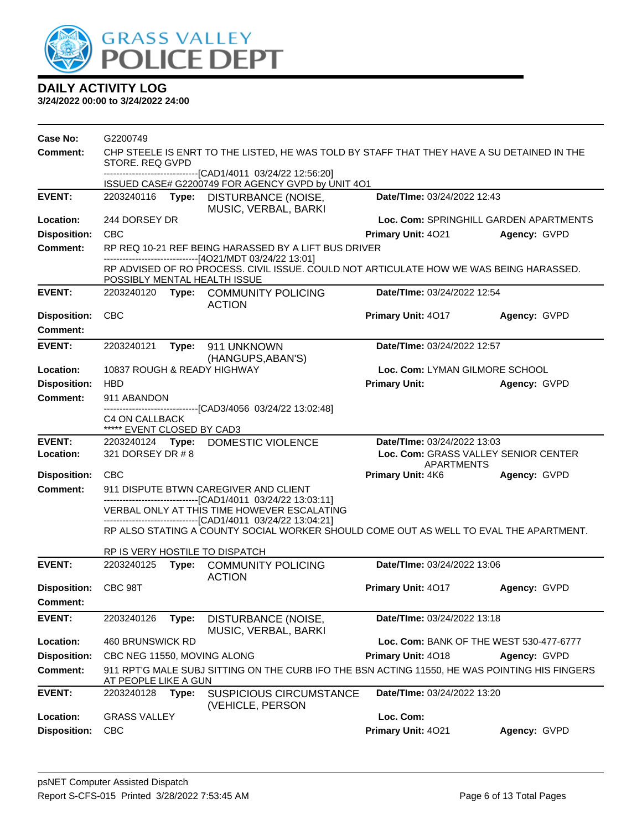

| Case No:                               | G2200749                                                                                                                                                                          |       |                                                                                                                                                                             |                                                           |                                         |  |
|----------------------------------------|-----------------------------------------------------------------------------------------------------------------------------------------------------------------------------------|-------|-----------------------------------------------------------------------------------------------------------------------------------------------------------------------------|-----------------------------------------------------------|-----------------------------------------|--|
| <b>Comment:</b>                        | STORE. REQ GVPD                                                                                                                                                                   |       | CHP STEELE IS ENRT TO THE LISTED, HE WAS TOLD BY STAFF THAT THEY HAVE A SU DETAINED IN THE                                                                                  |                                                           |                                         |  |
|                                        |                                                                                                                                                                                   |       | ---------------------[CAD1/4011 03/24/22 12:56:20]<br>ISSUED CASE# G2200749 FOR AGENCY GVPD by UNIT 4O1                                                                     |                                                           |                                         |  |
| <b>EVENT:</b>                          | 2203240116                                                                                                                                                                        | Type: | DISTURBANCE (NOISE,<br>MUSIC, VERBAL, BARKI                                                                                                                                 | Date/TIme: 03/24/2022 12:43                               |                                         |  |
| Location:                              | 244 DORSEY DR                                                                                                                                                                     |       |                                                                                                                                                                             |                                                           | Loc. Com: SPRINGHILL GARDEN APARTMENTS  |  |
| <b>Disposition:</b>                    | <b>CBC</b>                                                                                                                                                                        |       |                                                                                                                                                                             | Primary Unit: 4021                                        | Agency: GVPD                            |  |
| <b>Comment:</b>                        |                                                                                                                                                                                   |       | RP REQ 10-21 REF BEING HARASSED BY A LIFT BUS DRIVER                                                                                                                        |                                                           |                                         |  |
|                                        | ------------------------------[4O21/MDT 03/24/22 13:01]<br>RP ADVISED OF RO PROCESS. CIVIL ISSUE. COULD NOT ARTICULATE HOW WE WAS BEING HARASSED.<br>POSSIBLY MENTAL HEALTH ISSUE |       |                                                                                                                                                                             |                                                           |                                         |  |
| <b>EVENT:</b>                          |                                                                                                                                                                                   |       | 2203240120 Type: COMMUNITY POLICING<br><b>ACTION</b>                                                                                                                        | Date/TIme: 03/24/2022 12:54                               |                                         |  |
| <b>Disposition:</b>                    | <b>CBC</b>                                                                                                                                                                        |       |                                                                                                                                                                             | Primary Unit: 4017                                        | Agency: GVPD                            |  |
| Comment:                               |                                                                                                                                                                                   |       |                                                                                                                                                                             |                                                           |                                         |  |
| <b>EVENT:</b>                          | Type: 911 UNKNOWN<br>Date/TIme: 03/24/2022 12:57<br>2203240121<br>(HANGUPS, ABAN'S)                                                                                               |       |                                                                                                                                                                             |                                                           |                                         |  |
| Location:                              | 10837 ROUGH & READY HIGHWAY                                                                                                                                                       |       |                                                                                                                                                                             | Loc. Com: LYMAN GILMORE SCHOOL                            |                                         |  |
| <b>Disposition:</b>                    | <b>HBD</b>                                                                                                                                                                        |       |                                                                                                                                                                             | <b>Primary Unit:</b>                                      | Agency: GVPD                            |  |
| <b>Comment:</b>                        | 911 ABANDON                                                                                                                                                                       |       |                                                                                                                                                                             |                                                           |                                         |  |
|                                        | C4 ON CALLBACK<br>***** EVENT CLOSED BY CAD3                                                                                                                                      |       | --------------------------------[CAD3/4056 03/24/22 13:02:48]                                                                                                               |                                                           |                                         |  |
| <b>EVENT:</b>                          | 2203240124 Type:                                                                                                                                                                  |       | DOMESTIC VIOLENCE                                                                                                                                                           | Date/TIme: 03/24/2022 13:03                               |                                         |  |
| Location:                              | 321 DORSEY DR # 8                                                                                                                                                                 |       |                                                                                                                                                                             | Loc. Com: GRASS VALLEY SENIOR CENTER<br><b>APARTMENTS</b> |                                         |  |
| <b>Disposition:</b>                    | <b>CBC</b>                                                                                                                                                                        |       |                                                                                                                                                                             | Primary Unit: 4K6                                         | Agency: GVPD                            |  |
| <b>Comment:</b>                        |                                                                                                                                                                                   |       | 911 DISPUTE BTWN CAREGIVER AND CLIENT                                                                                                                                       |                                                           |                                         |  |
|                                        |                                                                                                                                                                                   |       | -------------------------------[CAD1/4011 03/24/22 13:03:11]<br>VERBAL ONLY AT THIS TIME HOWEVER ESCALATING<br>-------------------------------[CAD1/4011 03/24/22 13:04:21] |                                                           |                                         |  |
|                                        |                                                                                                                                                                                   |       | RP ALSO STATING A COUNTY SOCIAL WORKER SHOULD COME OUT AS WELL TO EVAL THE APARTMENT.                                                                                       |                                                           |                                         |  |
|                                        |                                                                                                                                                                                   |       | RP IS VERY HOSTILE TO DISPATCH                                                                                                                                              |                                                           |                                         |  |
| <b>EVENT:</b>                          | 2203240125                                                                                                                                                                        | Type: | <b>COMMUNITY POLICING</b>                                                                                                                                                   | Date/TIme: 03/24/2022 13:06                               |                                         |  |
| <b>Disposition:</b><br><b>Comment:</b> | CBC 98T                                                                                                                                                                           |       | <b>ACTION</b>                                                                                                                                                               | Primary Unit: 4017                                        | Agency: GVPD                            |  |
| <b>EVENT:</b>                          | 2203240126                                                                                                                                                                        | Type: | DISTURBANCE (NOISE,                                                                                                                                                         | Date/TIme: 03/24/2022 13:18                               |                                         |  |
| Location:                              | 460 BRUNSWICK RD                                                                                                                                                                  |       | MUSIC, VERBAL, BARKI                                                                                                                                                        |                                                           | Loc. Com: BANK OF THE WEST 530-477-6777 |  |
| <b>Disposition:</b>                    | CBC NEG 11550, MOVING ALONG                                                                                                                                                       |       |                                                                                                                                                                             | Primary Unit: 4018                                        | Agency: GVPD                            |  |
| <b>Comment:</b>                        | AT PEOPLE LIKE A GUN                                                                                                                                                              |       | 911 RPT'G MALE SUBJ SITTING ON THE CURB IFO THE BSN ACTING 11550, HE WAS POINTING HIS FINGERS                                                                               |                                                           |                                         |  |
| <b>EVENT:</b>                          |                                                                                                                                                                                   |       |                                                                                                                                                                             |                                                           |                                         |  |
|                                        | 2203240128                                                                                                                                                                        | Type: | <b>SUSPICIOUS CIRCUMSTANCE</b>                                                                                                                                              | Date/TIme: 03/24/2022 13:20                               |                                         |  |
| Location:                              | <b>GRASS VALLEY</b>                                                                                                                                                               |       | (VEHICLE, PERSON                                                                                                                                                            | Loc. Com:                                                 |                                         |  |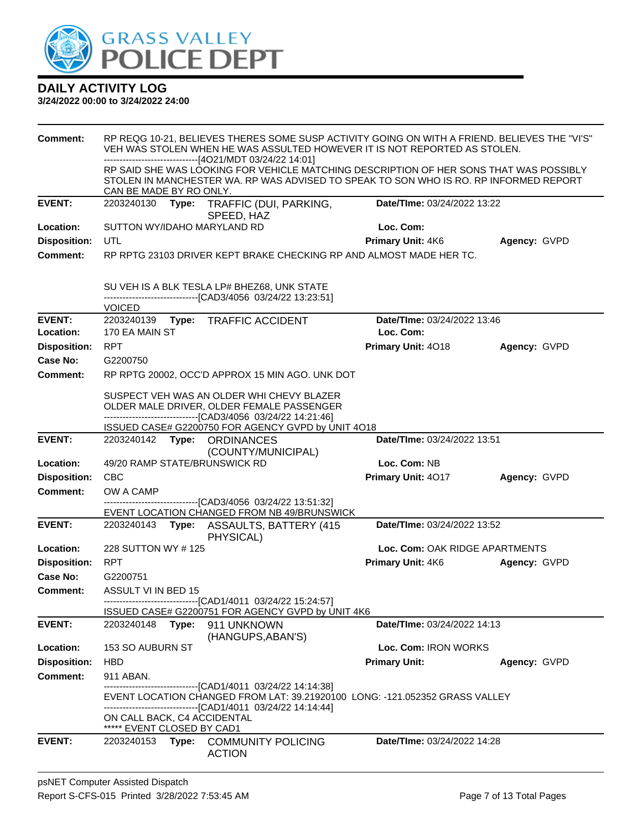

| <b>Comment:</b>     | RP REQG 10-21, BELIEVES THERES SOME SUSP ACTIVITY GOING ON WITH A FRIEND. BELIEVES THE "VI'S"<br>VEH WAS STOLEN WHEN HE WAS ASSULTED HOWEVER IT IS NOT REPORTED AS STOLEN.<br>---------------------------[4O21/MDT 03/24/22 14:01] |       |                                                                                                                                                                                                              |                                |              |
|---------------------|------------------------------------------------------------------------------------------------------------------------------------------------------------------------------------------------------------------------------------|-------|--------------------------------------------------------------------------------------------------------------------------------------------------------------------------------------------------------------|--------------------------------|--------------|
|                     | CAN BE MADE BY RO ONLY.                                                                                                                                                                                                            |       | RP SAID SHE WAS LOOKING FOR VEHICLE MATCHING DESCRIPTION OF HER SONS THAT WAS POSSIBLY<br>STOLEN IN MANCHESTER WA. RP WAS ADVISED TO SPEAK TO SON WHO IS RO. RP INFORMED REPORT                              |                                |              |
| <b>EVENT:</b>       |                                                                                                                                                                                                                                    |       | 2203240130 Type: TRAFFIC (DUI, PARKING,<br>SPEED, HAZ                                                                                                                                                        | Date/TIme: 03/24/2022 13:22    |              |
| Location:           | SUTTON WY/IDAHO MARYLAND RD                                                                                                                                                                                                        |       |                                                                                                                                                                                                              | Loc. Com:                      |              |
| <b>Disposition:</b> | UTL                                                                                                                                                                                                                                |       |                                                                                                                                                                                                              | Primary Unit: 4K6              | Agency: GVPD |
| <b>Comment:</b>     |                                                                                                                                                                                                                                    |       | RP RPTG 23103 DRIVER KEPT BRAKE CHECKING RP AND ALMOST MADE HER TC.                                                                                                                                          |                                |              |
|                     | <b>VOICED</b>                                                                                                                                                                                                                      |       | SU VEH IS A BLK TESLA LP# BHEZ68, UNK STATE<br>-------------------------------[CAD3/4056 03/24/22 13:23:51]                                                                                                  |                                |              |
| <b>EVENT:</b>       | 2203240139                                                                                                                                                                                                                         | Type: | <b>TRAFFIC ACCIDENT</b>                                                                                                                                                                                      | Date/TIme: 03/24/2022 13:46    |              |
| Location:           | 170 EA MAIN ST                                                                                                                                                                                                                     |       |                                                                                                                                                                                                              | Loc. Com:                      |              |
| <b>Disposition:</b> | <b>RPT</b>                                                                                                                                                                                                                         |       |                                                                                                                                                                                                              | Primary Unit: 4018             | Agency: GVPD |
| <b>Case No:</b>     | G2200750                                                                                                                                                                                                                           |       |                                                                                                                                                                                                              |                                |              |
| Comment:            |                                                                                                                                                                                                                                    |       | RP RPTG 20002, OCC'D APPROX 15 MIN AGO. UNK DOT                                                                                                                                                              |                                |              |
|                     |                                                                                                                                                                                                                                    |       | SUSPECT VEH WAS AN OLDER WHI CHEVY BLAZER<br>OLDER MALE DRIVER, OLDER FEMALE PASSENGER<br>-------------------------------[CAD3/4056 03/24/22 14:21:46]<br>ISSUED CASE# G2200750 FOR AGENCY GVPD by UNIT 4018 |                                |              |
| <b>EVENT:</b>       | 2203240142 Type:                                                                                                                                                                                                                   |       | <b>ORDINANCES</b>                                                                                                                                                                                            | Date/TIme: 03/24/2022 13:51    |              |
|                     |                                                                                                                                                                                                                                    |       | (COUNTY/MUNICIPAL)                                                                                                                                                                                           |                                |              |
| Location:           | 49/20 RAMP STATE/BRUNSWICK RD                                                                                                                                                                                                      |       |                                                                                                                                                                                                              | Loc. Com: NB                   |              |
| <b>Disposition:</b> | CBC                                                                                                                                                                                                                                |       |                                                                                                                                                                                                              | Primary Unit: 4017             | Agency: GVPD |
| <b>Comment:</b>     | OW A CAMP                                                                                                                                                                                                                          |       |                                                                                                                                                                                                              |                                |              |
|                     |                                                                                                                                                                                                                                    |       | --------------------------------[CAD3/4056 03/24/22 13:51:32]<br>EVENT LOCATION CHANGED FROM NB 49/BRUNSWICK                                                                                                 |                                |              |
| <b>EVENT:</b>       |                                                                                                                                                                                                                                    |       | PHYSICAL)                                                                                                                                                                                                    | Date/TIme: 03/24/2022 13:52    |              |
| Location:           | 228 SUTTON WY #125                                                                                                                                                                                                                 |       |                                                                                                                                                                                                              | Loc. Com: OAK RIDGE APARTMENTS |              |
| <b>Disposition:</b> | <b>RPT</b>                                                                                                                                                                                                                         |       |                                                                                                                                                                                                              | <b>Primary Unit: 4K6</b>       | Agency: GVPD |
| Case No:            | G2200751                                                                                                                                                                                                                           |       |                                                                                                                                                                                                              |                                |              |
| Comment:            | ASSULT VI IN BED 15                                                                                                                                                                                                                |       |                                                                                                                                                                                                              |                                |              |
|                     |                                                                                                                                                                                                                                    |       | ---------------[CAD1/4011 03/24/22 15:24:57]<br>ISSUED CASE# G2200751 FOR AGENCY GVPD by UNIT 4K6                                                                                                            |                                |              |
| EVENT:              | 2203240148                                                                                                                                                                                                                         | Type: | 911 UNKNOWN<br>(HANGUPS, ABAN'S)                                                                                                                                                                             | Date/TIme: 03/24/2022 14:13    |              |
| Location:           | 153 SO AUBURN ST                                                                                                                                                                                                                   |       |                                                                                                                                                                                                              | Loc. Com: IRON WORKS           |              |
| <b>Disposition:</b> | HBD                                                                                                                                                                                                                                |       |                                                                                                                                                                                                              | <b>Primary Unit:</b>           | Agency: GVPD |
| <b>Comment:</b>     | 911 ABAN.                                                                                                                                                                                                                          |       |                                                                                                                                                                                                              |                                |              |
|                     |                                                                                                                                                                                                                                    |       | -------------------------------[CAD1/4011 03/24/22 14:14:38]<br>EVENT LOCATION CHANGED FROM LAT: 39.21920100 LONG: -121.052352 GRASS VALLEY<br>-------------------------------[CAD1/4011 03/24/22 14:14:44]  |                                |              |
|                     | ON CALL BACK, C4 ACCIDENTAL<br>***** EVENT CLOSED BY CAD1                                                                                                                                                                          |       |                                                                                                                                                                                                              |                                |              |
| <b>EVENT:</b>       | 2203240153                                                                                                                                                                                                                         |       | Type: COMMUNITY POLICING<br><b>ACTION</b>                                                                                                                                                                    | Date/TIme: 03/24/2022 14:28    |              |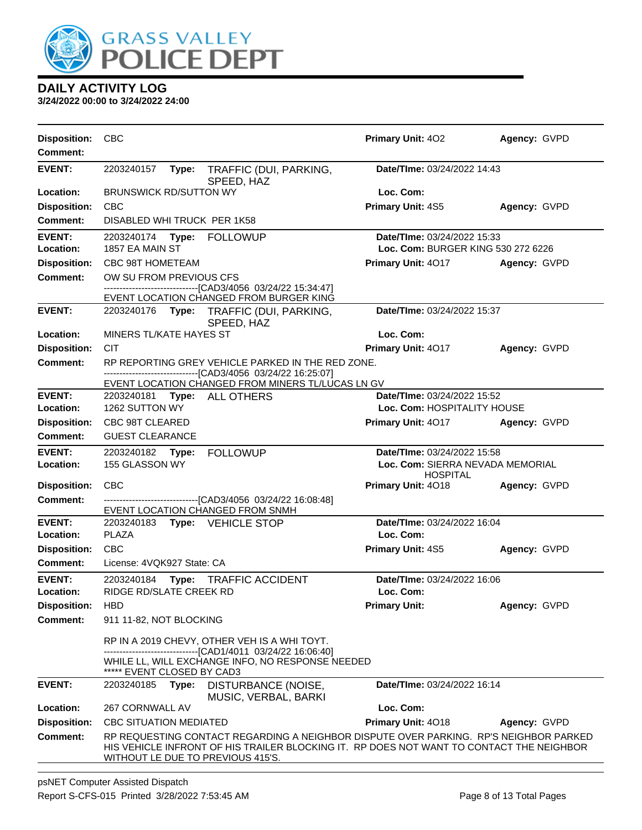

| <b>Disposition:</b><br><b>Comment:</b> | <b>CBC</b>                                                                                                                                                                                                             | <b>Primary Unit: 402</b>                            | Agency: GVPD |  |  |  |
|----------------------------------------|------------------------------------------------------------------------------------------------------------------------------------------------------------------------------------------------------------------------|-----------------------------------------------------|--------------|--|--|--|
| <b>EVENT:</b>                          | 2203240157<br>Type:<br>TRAFFIC (DUI, PARKING,<br>SPEED, HAZ                                                                                                                                                            | Date/TIme: 03/24/2022 14:43                         |              |  |  |  |
| Location:                              | <b>BRUNSWICK RD/SUTTON WY</b>                                                                                                                                                                                          | Loc. Com:                                           |              |  |  |  |
| <b>Disposition:</b>                    | <b>CBC</b>                                                                                                                                                                                                             | <b>Primary Unit: 4S5</b>                            | Agency: GVPD |  |  |  |
| <b>Comment:</b>                        | DISABLED WHI TRUCK PER 1K58                                                                                                                                                                                            |                                                     |              |  |  |  |
| <b>EVENT:</b>                          | 2203240174<br>Type: FOLLOWUP                                                                                                                                                                                           | Date/TIme: 03/24/2022 15:33                         |              |  |  |  |
| Location:                              | 1857 EA MAIN ST                                                                                                                                                                                                        | Loc. Com: BURGER KING 530 272 6226                  |              |  |  |  |
| <b>Disposition:</b>                    | CBC 98T HOMETEAM                                                                                                                                                                                                       | <b>Primary Unit: 4017</b>                           | Agency: GVPD |  |  |  |
| <b>Comment:</b>                        | OW SU FROM PREVIOUS CFS                                                                                                                                                                                                |                                                     |              |  |  |  |
|                                        | -------------------------------[CAD3/4056_03/24/22 15:34:47]<br>EVENT LOCATION CHANGED FROM BURGER KING                                                                                                                |                                                     |              |  |  |  |
| <b>EVENT:</b>                          | 2203240176<br>Type:<br>TRAFFIC (DUI, PARKING,<br>SPEED, HAZ                                                                                                                                                            | Date/TIme: 03/24/2022 15:37                         |              |  |  |  |
| <b>Location:</b>                       | MINERS TL/KATE HAYES ST                                                                                                                                                                                                | Loc. Com:                                           |              |  |  |  |
| <b>Disposition:</b>                    | <b>CIT</b>                                                                                                                                                                                                             | Primary Unit: 4017                                  | Agency: GVPD |  |  |  |
| <b>Comment:</b>                        | RP REPORTING GREY VEHICLE PARKED IN THE RED ZONE.                                                                                                                                                                      |                                                     |              |  |  |  |
|                                        | -------------------------------[CAD3/4056 03/24/22 16:25:07]                                                                                                                                                           |                                                     |              |  |  |  |
| <b>EVENT:</b>                          | EVENT LOCATION CHANGED FROM MINERS TL/LUCAS LN GV<br>2203240181<br>Type: ALL OTHERS                                                                                                                                    | Date/TIme: 03/24/2022 15:52                         |              |  |  |  |
| Location:                              | 1262 SUTTON WY                                                                                                                                                                                                         | Loc. Com: HOSPITALITY HOUSE                         |              |  |  |  |
| <b>Disposition:</b>                    | CBC 98T CLEARED                                                                                                                                                                                                        | Primary Unit: 4017                                  | Agency: GVPD |  |  |  |
| <b>Comment:</b>                        | <b>GUEST CLEARANCE</b>                                                                                                                                                                                                 |                                                     |              |  |  |  |
| <b>EVENT:</b>                          | 2203240182 Type:<br><b>FOLLOWUP</b>                                                                                                                                                                                    | Date/TIme: 03/24/2022 15:58                         |              |  |  |  |
| <b>Location:</b>                       | 155 GLASSON WY                                                                                                                                                                                                         | Loc. Com: SIERRA NEVADA MEMORIAL<br><b>HOSPITAL</b> |              |  |  |  |
| <b>Disposition:</b>                    | <b>CBC</b>                                                                                                                                                                                                             | Primary Unit: 4018                                  | Agency: GVPD |  |  |  |
| Comment:                               | -------------------------------[CAD3/4056_03/24/22 16:08:48]<br>EVENT LOCATION CHANGED FROM SNMH                                                                                                                       |                                                     |              |  |  |  |
| <b>EVENT:</b>                          | 2203240183 Type: VEHICLE STOP                                                                                                                                                                                          | Date/TIme: 03/24/2022 16:04                         |              |  |  |  |
| Location:                              | PLAZA                                                                                                                                                                                                                  | Loc. Com:                                           |              |  |  |  |
| <b>Disposition:</b>                    | <b>CBC</b>                                                                                                                                                                                                             | <b>Primary Unit: 4S5</b>                            | Agency: GVPD |  |  |  |
| Comment:                               | License: 4VQK927 State: CA                                                                                                                                                                                             |                                                     |              |  |  |  |
| <b>EVENT:</b>                          | Type: TRAFFIC ACCIDENT<br>2203240184                                                                                                                                                                                   | Date/TIme: 03/24/2022 16:06                         |              |  |  |  |
| Location:                              | RIDGE RD/SLATE CREEK RD                                                                                                                                                                                                | Loc. Com:                                           |              |  |  |  |
| <b>Disposition:</b><br><b>Comment:</b> | <b>HBD</b><br>911 11-82, NOT BLOCKING                                                                                                                                                                                  | <b>Primary Unit:</b>                                | Agency: GVPD |  |  |  |
|                                        |                                                                                                                                                                                                                        |                                                     |              |  |  |  |
|                                        | RP IN A 2019 CHEVY, OTHER VEH IS A WHI TOYT.                                                                                                                                                                           |                                                     |              |  |  |  |
|                                        | -------------------------------[CAD1/4011 03/24/22 16:06:40]<br>WHILE LL, WILL EXCHANGE INFO, NO RESPONSE NEEDED<br>***** EVENT CLOSED BY CAD3                                                                         |                                                     |              |  |  |  |
| <b>EVENT:</b>                          | 2203240185<br>Type:<br>DISTURBANCE (NOISE,<br>MUSIC, VERBAL, BARKI                                                                                                                                                     | Date/TIme: 03/24/2022 16:14                         |              |  |  |  |
| Location:                              | 267 CORNWALL AV                                                                                                                                                                                                        | Loc. Com:                                           |              |  |  |  |
| <b>Disposition:</b>                    | <b>CBC SITUATION MEDIATED</b>                                                                                                                                                                                          | Primary Unit: 4018                                  | Agency: GVPD |  |  |  |
| <b>Comment:</b>                        | RP REQUESTING CONTACT REGARDING A NEIGHBOR DISPUTE OVER PARKING. RP'S NEIGHBOR PARKED<br>HIS VEHICLE INFRONT OF HIS TRAILER BLOCKING IT. RP DOES NOT WANT TO CONTACT THE NEIGHBOR<br>WITHOUT LE DUE TO PREVIOUS 415'S. |                                                     |              |  |  |  |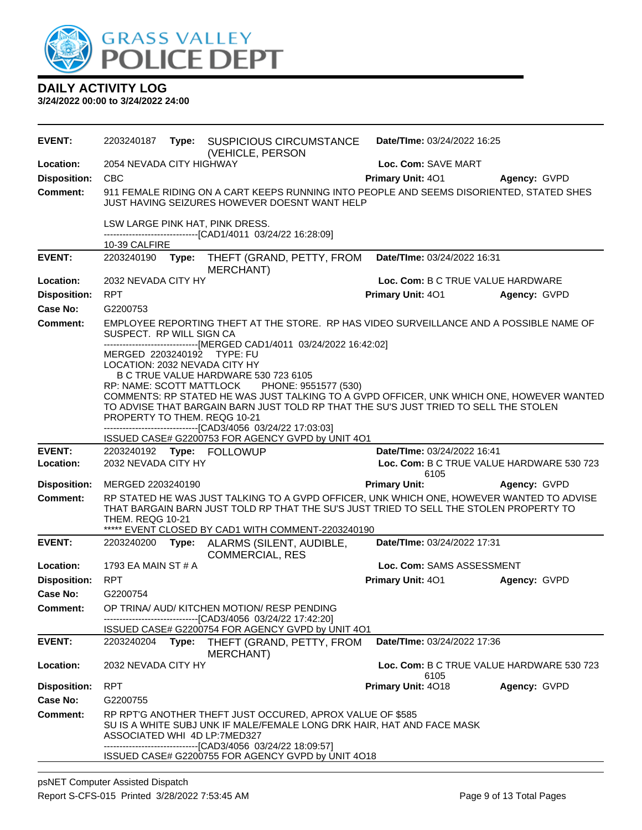

| <b>EVENT:</b>       | 2203240187                    | Type: | <b>SUSPICIOUS CIRCUMSTANCE</b><br>(VEHICLE, PERSON                                                                                                                                           | Date/TIme: 03/24/2022 16:25                       |              |
|---------------------|-------------------------------|-------|----------------------------------------------------------------------------------------------------------------------------------------------------------------------------------------------|---------------------------------------------------|--------------|
| Location:           | 2054 NEVADA CITY HIGHWAY      |       |                                                                                                                                                                                              | Loc. Com: SAVE MART                               |              |
| <b>Disposition:</b> | <b>CBC</b>                    |       |                                                                                                                                                                                              | <b>Primary Unit: 401</b>                          | Agency: GVPD |
| <b>Comment:</b>     |                               |       | 911 FEMALE RIDING ON A CART KEEPS RUNNING INTO PEOPLE AND SEEMS DISORIENTED, STATED SHES<br>JUST HAVING SEIZURES HOWEVER DOESNT WANT HELP                                                    |                                                   |              |
|                     |                               |       | LSW LARGE PINK HAT, PINK DRESS.<br>-------------------------------[CAD1/4011_03/24/22_16:28:09]                                                                                              |                                                   |              |
|                     | 10-39 CALFIRE                 |       |                                                                                                                                                                                              |                                                   |              |
| <b>EVENT:</b>       | 2203240190                    | Type: | THEFT (GRAND, PETTY, FROM<br><b>MERCHANT</b> )                                                                                                                                               | Date/TIme: 03/24/2022 16:31                       |              |
| Location:           | 2032 NEVADA CITY HY           |       |                                                                                                                                                                                              | Loc. Com: B C TRUE VALUE HARDWARE                 |              |
| <b>Disposition:</b> | <b>RPT</b>                    |       |                                                                                                                                                                                              | <b>Primary Unit: 401</b>                          | Agency: GVPD |
| Case No:            | G2200753                      |       |                                                                                                                                                                                              |                                                   |              |
| <b>Comment:</b>     | SUSPECT. RP WILL SIGN CA      |       | EMPLOYEE REPORTING THEFT AT THE STORE. RP HAS VIDEO SURVEILLANCE AND A POSSIBLE NAME OF<br>------------------------------[MERGED CAD1/4011 03/24/2022 16:42:02]                              |                                                   |              |
|                     | MERGED 2203240192 TYPE: FU    |       |                                                                                                                                                                                              |                                                   |              |
|                     | LOCATION: 2032 NEVADA CITY HY |       |                                                                                                                                                                                              |                                                   |              |
|                     | RP: NAME: SCOTT MATTLOCK      |       | B C TRUE VALUE HARDWARE 530 723 6105<br>PHONE: 9551577 (530)                                                                                                                                 |                                                   |              |
|                     |                               |       | COMMENTS: RP STATED HE WAS JUST TALKING TO A GVPD OFFICER, UNK WHICH ONE, HOWEVER WANTED                                                                                                     |                                                   |              |
|                     |                               |       | TO ADVISE THAT BARGAIN BARN JUST TOLD RP THAT THE SU'S JUST TRIED TO SELL THE STOLEN                                                                                                         |                                                   |              |
|                     | PROPERTY TO THEM. REQG 10-21  |       |                                                                                                                                                                                              |                                                   |              |
|                     |                               |       | -------------------------------[CAD3/4056_03/24/22 17:03:03]<br>ISSUED CASE# G2200753 FOR AGENCY GVPD by UNIT 4O1                                                                            |                                                   |              |
| <b>EVENT:</b>       |                               |       |                                                                                                                                                                                              | Date/TIme: 03/24/2022 16:41                       |              |
| Location:           | 2032 NEVADA CITY HY           |       |                                                                                                                                                                                              | Loc. Com: B C TRUE VALUE HARDWARE 530 723<br>6105 |              |
| <b>Disposition:</b> | MERGED 2203240190             |       |                                                                                                                                                                                              | <b>Primary Unit:</b>                              | Agency: GVPD |
| <b>Comment:</b>     | <b>THEM. REQG 10-21</b>       |       | RP STATED HE WAS JUST TALKING TO A GVPD OFFICER, UNK WHICH ONE, HOWEVER WANTED TO ADVISE<br>THAT BARGAIN BARN JUST TOLD RP THAT THE SU'S JUST TRIED TO SELL THE STOLEN PROPERTY TO           |                                                   |              |
|                     |                               |       | ***** EVENT CLOSED BY CAD1 WITH COMMENT-2203240190                                                                                                                                           |                                                   |              |
| <b>EVENT:</b>       | 2203240200                    | Type: | ALARMS (SILENT, AUDIBLE,<br><b>COMMERCIAL, RES</b>                                                                                                                                           | Date/TIme: 03/24/2022 17:31                       |              |
| Location:           | 1793 EA MAIN ST # A           |       |                                                                                                                                                                                              | Loc. Com: SAMS ASSESSMENT                         |              |
| <b>Disposition:</b> | <b>RPT</b>                    |       |                                                                                                                                                                                              | Primary Unit: 401                                 | Agency: GVPD |
| Case No:            | G2200754                      |       |                                                                                                                                                                                              |                                                   |              |
| <b>Comment:</b>     |                               |       | OP TRINA/ AUD/ KITCHEN MOTION/ RESP PENDING<br>-------------------------[CAD3/4056_03/24/22 17:42:20]                                                                                        |                                                   |              |
|                     |                               |       | ISSUED CASE# G2200754 FOR AGENCY GVPD by UNIT 4O1                                                                                                                                            |                                                   |              |
| <b>EVENT:</b>       | 2203240204                    | Type: | THEFT (GRAND, PETTY, FROM<br>MERCHANT)                                                                                                                                                       | <b>Date/Time: 03/24/2022 17:36</b>                |              |
| Location:           | 2032 NEVADA CITY HY           |       |                                                                                                                                                                                              | Loc. Com: B C TRUE VALUE HARDWARE 530 723<br>6105 |              |
| <b>Disposition:</b> | <b>RPT</b>                    |       |                                                                                                                                                                                              | <b>Primary Unit: 4018</b>                         | Agency: GVPD |
| Case No:            | G2200755                      |       |                                                                                                                                                                                              |                                                   |              |
| Comment:            | ASSOCIATED WHI 4D LP:7MED327  |       | RP RPT'G ANOTHER THEFT JUST OCCURED, APROX VALUE OF \$585<br>SU IS A WHITE SUBJ UNK IF MALE/FEMALE LONG DRK HAIR, HAT AND FACE MASK<br>------------------------[CAD3/4056_03/24/22_18:09:57] |                                                   |              |
|                     |                               |       | ISSUED CASE# G2200755 FOR AGENCY GVPD by UNIT 4O18                                                                                                                                           |                                                   |              |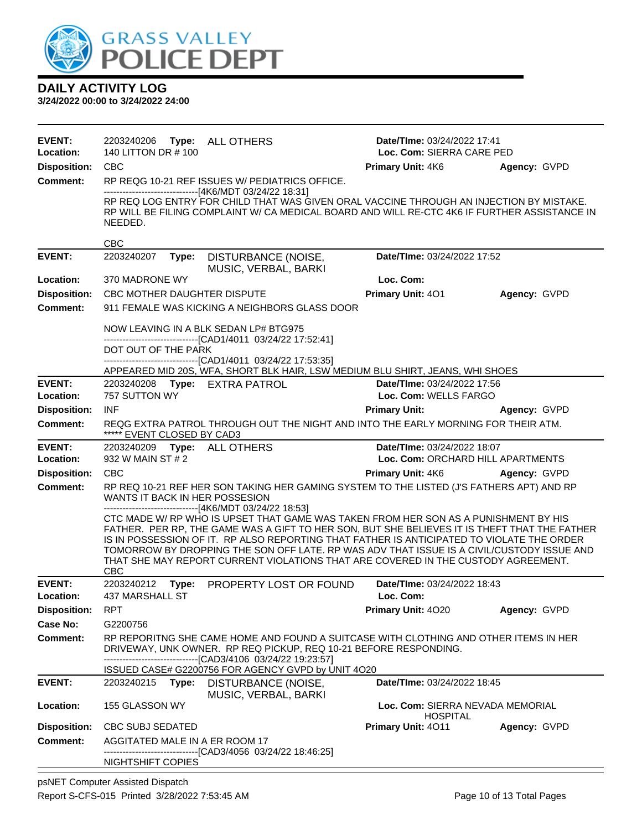

| <b>EVENT:</b><br>Location:       | 2203240206<br>Type: ALL OTHERS<br>140 LITTON DR # 100                                                                                                                                                                                                                                                                                                                                                                                                                            | Date/TIme: 03/24/2022 17:41<br>Loc. Com: SIERRA CARE PED |              |  |
|----------------------------------|----------------------------------------------------------------------------------------------------------------------------------------------------------------------------------------------------------------------------------------------------------------------------------------------------------------------------------------------------------------------------------------------------------------------------------------------------------------------------------|----------------------------------------------------------|--------------|--|
| <b>Disposition:</b>              | <b>CBC</b>                                                                                                                                                                                                                                                                                                                                                                                                                                                                       | <b>Primary Unit: 4K6</b>                                 | Agency: GVPD |  |
| <b>Comment:</b>                  | RP REQG 10-21 REF ISSUES W/ PEDIATRICS OFFICE.                                                                                                                                                                                                                                                                                                                                                                                                                                   |                                                          |              |  |
|                                  | -------------------------------[4K6/MDT 03/24/22 18:31]                                                                                                                                                                                                                                                                                                                                                                                                                          |                                                          |              |  |
|                                  | RP REQ LOG ENTRY FOR CHILD THAT WAS GIVEN ORAL VACCINE THROUGH AN INJECTION BY MISTAKE.<br>RP WILL BE FILING COMPLAINT W/ CA MEDICAL BOARD AND WILL RE-CTC 4K6 IF FURTHER ASSISTANCE IN<br>NEEDED.                                                                                                                                                                                                                                                                               |                                                          |              |  |
|                                  | <b>CBC</b>                                                                                                                                                                                                                                                                                                                                                                                                                                                                       |                                                          |              |  |
| <b>EVENT:</b>                    | 2203240207<br>DISTURBANCE (NOISE,<br>Type:<br>MUSIC, VERBAL, BARKI                                                                                                                                                                                                                                                                                                                                                                                                               | Date/TIme: 03/24/2022 17:52                              |              |  |
| Location:                        | 370 MADRONE WY                                                                                                                                                                                                                                                                                                                                                                                                                                                                   | Loc. Com:                                                |              |  |
| <b>Disposition:</b>              | CBC MOTHER DAUGHTER DISPUTE                                                                                                                                                                                                                                                                                                                                                                                                                                                      | Primary Unit: 401                                        | Agency: GVPD |  |
| <b>Comment:</b>                  | 911 FEMALE WAS KICKING A NEIGHBORS GLASS DOOR                                                                                                                                                                                                                                                                                                                                                                                                                                    |                                                          |              |  |
|                                  | NOW LEAVING IN A BLK SEDAN LP# BTG975<br>-------------------------------[CAD1/4011_03/24/22 17:52:41]                                                                                                                                                                                                                                                                                                                                                                            |                                                          |              |  |
|                                  | DOT OUT OF THE PARK                                                                                                                                                                                                                                                                                                                                                                                                                                                              |                                                          |              |  |
|                                  | --------------------------------[CAD1/4011 03/24/22 17:53:35]<br>APPEARED MID 20S, WFA, SHORT BLK HAIR, LSW MEDIUM BLU SHIRT, JEANS, WHI SHOES                                                                                                                                                                                                                                                                                                                                   |                                                          |              |  |
| <b>EVENT:</b>                    | 2203240208 Type: EXTRA PATROL                                                                                                                                                                                                                                                                                                                                                                                                                                                    | Date/TIme: 03/24/2022 17:56                              |              |  |
| Location:                        | 757 SUTTON WY                                                                                                                                                                                                                                                                                                                                                                                                                                                                    | Loc. Com: WELLS FARGO                                    |              |  |
| <b>Disposition:</b>              | INF                                                                                                                                                                                                                                                                                                                                                                                                                                                                              | <b>Primary Unit:</b>                                     | Agency: GVPD |  |
| <b>Comment:</b>                  | REQG EXTRA PATROL THROUGH OUT THE NIGHT AND INTO THE EARLY MORNING FOR THEIR ATM.<br>***** EVENT CLOSED BY CAD3                                                                                                                                                                                                                                                                                                                                                                  |                                                          |              |  |
| <b>EVENT:</b>                    | 2203240209    Type: ALL OTHERS                                                                                                                                                                                                                                                                                                                                                                                                                                                   | Date/TIme: 03/24/2022 18:07                              |              |  |
| Location:                        | 932 W MAIN ST # 2                                                                                                                                                                                                                                                                                                                                                                                                                                                                | Loc. Com: ORCHARD HILL APARTMENTS                        |              |  |
| <b>Disposition:</b>              | <b>CBC</b>                                                                                                                                                                                                                                                                                                                                                                                                                                                                       | <b>Primary Unit: 4K6</b>                                 | Agency: GVPD |  |
| <b>Comment:</b>                  | RP REQ 10-21 REF HER SON TAKING HER GAMING SYSTEM TO THE LISTED (J'S FATHERS APT) AND RP<br>WANTS IT BACK IN HER POSSESION<br>-------------------------------[4K6/MDT 03/24/22 18:53]                                                                                                                                                                                                                                                                                            |                                                          |              |  |
|                                  | CTC MADE W/ RP WHO IS UPSET THAT GAME WAS TAKEN FROM HER SON AS A PUNISHMENT BY HIS<br>FATHER. PER RP, THE GAME WAS A GIFT TO HER SON, BUT SHE BELIEVES IT IS THEFT THAT THE FATHER<br>IS IN POSSESSION OF IT. RP ALSO REPORTING THAT FATHER IS ANTICIPATED TO VIOLATE THE ORDER<br>TOMORROW BY DROPPING THE SON OFF LATE. RP WAS ADV THAT ISSUE IS A CIVIL/CUSTODY ISSUE AND<br>THAT SHE MAY REPORT CURRENT VIOLATIONS THAT ARE COVERED IN THE CUSTODY AGREEMENT.<br><b>CBC</b> |                                                          |              |  |
| <b>EVENT:</b>                    | 2203240212<br>PROPERTY LOST OR FOUND<br>Type:                                                                                                                                                                                                                                                                                                                                                                                                                                    | Date/TIme: 03/24/2022 18:43                              |              |  |
| Location:<br><b>Disposition:</b> | <b>437 MARSHALL ST</b><br><b>RPT</b>                                                                                                                                                                                                                                                                                                                                                                                                                                             | Loc. Com:<br>Primary Unit: 4020                          | Agency: GVPD |  |
| <b>Case No:</b>                  | G2200756                                                                                                                                                                                                                                                                                                                                                                                                                                                                         |                                                          |              |  |
| <b>Comment:</b>                  | RP REPORITNG SHE CAME HOME AND FOUND A SUITCASE WITH CLOTHING AND OTHER ITEMS IN HER<br>DRIVEWAY, UNK OWNER. RP REQ PICKUP, REQ 10-21 BEFORE RESPONDING.                                                                                                                                                                                                                                                                                                                         |                                                          |              |  |
|                                  | ---------------------------[CAD3/4106 03/24/22 19:23:57]                                                                                                                                                                                                                                                                                                                                                                                                                         |                                                          |              |  |
|                                  | ISSUED CASE# G2200756 FOR AGENCY GVPD by UNIT 4O20                                                                                                                                                                                                                                                                                                                                                                                                                               |                                                          |              |  |
| <b>EVENT:</b>                    | 2203240215<br>Type:<br>DISTURBANCE (NOISE,<br>MUSIC, VERBAL, BARKI                                                                                                                                                                                                                                                                                                                                                                                                               | Date/TIme: 03/24/2022 18:45                              |              |  |
| Location:                        | 155 GLASSON WY                                                                                                                                                                                                                                                                                                                                                                                                                                                                   | Loc. Com: SIERRA NEVADA MEMORIAL<br>HOSPITAL             |              |  |
| <b>Disposition:</b>              | <b>CBC SUBJ SEDATED</b>                                                                                                                                                                                                                                                                                                                                                                                                                                                          | <b>Primary Unit: 4011</b>                                | Agency: GVPD |  |
| <b>Comment:</b>                  | AGGITATED MALE IN A ER ROOM 17<br>------[CAD3/4056_03/24/22 18:46:25]                                                                                                                                                                                                                                                                                                                                                                                                            |                                                          |              |  |
|                                  | <b>NIGHTSHIFT COPIES</b>                                                                                                                                                                                                                                                                                                                                                                                                                                                         |                                                          |              |  |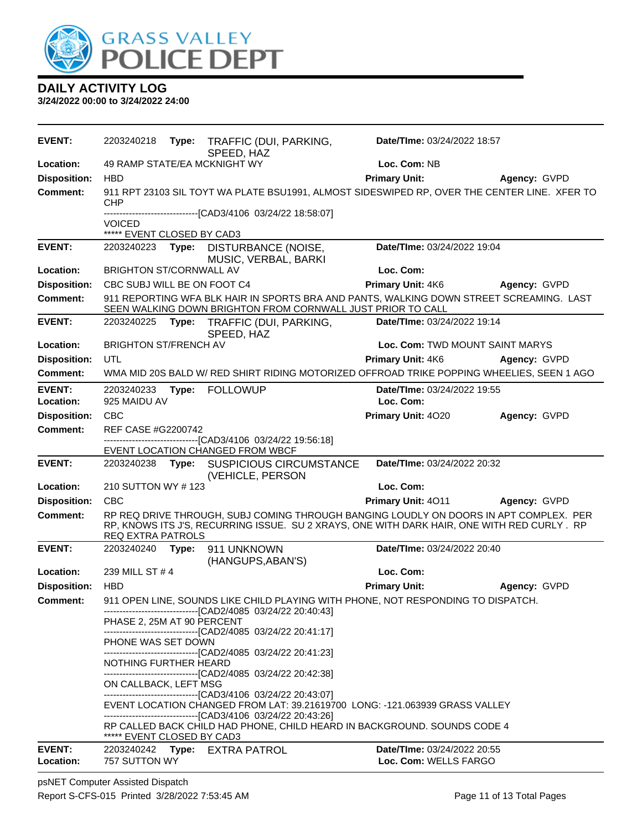

**3/24/2022 00:00 to 3/24/2022 24:00**

| <b>EVENT:</b>       | 2203240218                   | Type: | TRAFFIC (DUI, PARKING,<br>SPEED, HAZ                                                                                                                                                | Date/TIme: 03/24/2022 18:57     |              |
|---------------------|------------------------------|-------|-------------------------------------------------------------------------------------------------------------------------------------------------------------------------------------|---------------------------------|--------------|
| Location:           | 49 RAMP STATE/EA MCKNIGHT WY |       |                                                                                                                                                                                     | Loc. Com: NB                    |              |
| <b>Disposition:</b> | <b>HBD</b>                   |       |                                                                                                                                                                                     | <b>Primary Unit:</b>            | Agency: GVPD |
| <b>Comment:</b>     | CHP                          |       | 911 RPT 23103 SIL TOYT WA PLATE BSU1991, ALMOST SIDESWIPED RP, OVER THE CENTER LINE. XFER TO                                                                                        |                                 |              |
|                     | <b>VOICED</b>                |       | ------------------[CAD3/4106_03/24/22 18:58:07]                                                                                                                                     |                                 |              |
|                     | ***** EVENT CLOSED BY CAD3   |       |                                                                                                                                                                                     |                                 |              |
| <b>EVENT:</b>       |                              |       | 2203240223 Type: DISTURBANCE (NOISE,<br>MUSIC, VERBAL, BARKI                                                                                                                        | Date/TIme: 03/24/2022 19:04     |              |
| Location:           | BRIGHTON ST/CORNWALL AV      |       |                                                                                                                                                                                     | Loc. Com:                       |              |
| <b>Disposition:</b> | CBC SUBJ WILL BE ON FOOT C4  |       |                                                                                                                                                                                     | Primary Unit: 4K6               | Agency: GVPD |
| <b>Comment:</b>     |                              |       | 911 REPORTING WFA BLK HAIR IN SPORTS BRA AND PANTS, WALKING DOWN STREET SCREAMING. LAST<br>SEEN WALKING DOWN BRIGHTON FROM CORNWALL JUST PRIOR TO CALL                              |                                 |              |
| <b>EVENT:</b>       | 2203240225                   |       | Type: TRAFFIC (DUI, PARKING,<br>SPEED, HAZ                                                                                                                                          | Date/TIme: 03/24/2022 19:14     |              |
| Location:           | <b>BRIGHTON ST/FRENCH AV</b> |       |                                                                                                                                                                                     | Loc. Com: TWD MOUNT SAINT MARYS |              |
| <b>Disposition:</b> | <b>UTL</b>                   |       |                                                                                                                                                                                     | Primary Unit: 4K6               | Agency: GVPD |
| Comment:            |                              |       | WMA MID 20S BALD W/ RED SHIRT RIDING MOTORIZED OFFROAD TRIKE POPPING WHEELIES, SEEN 1 AGO                                                                                           |                                 |              |
| <b>EVENT:</b>       | 2203240233                   | Type: | <b>FOLLOWUP</b>                                                                                                                                                                     | Date/TIme: 03/24/2022 19:55     |              |
| Location:           | 925 MAIDU AV                 |       |                                                                                                                                                                                     | Loc. Com:                       |              |
| <b>Disposition:</b> | <b>CBC</b>                   |       |                                                                                                                                                                                     | Primary Unit: 4020              | Agency: GVPD |
| <b>Comment:</b>     | REF CASE #G2200742           |       |                                                                                                                                                                                     |                                 |              |
|                     |                              |       | -------------------------------[CAD3/4106 03/24/22 19:56:18]<br>EVENT LOCATION CHANGED FROM WBCF                                                                                    |                                 |              |
| <b>EVENT:</b>       |                              |       | 2203240238 Type: SUSPICIOUS CIRCUMSTANCE<br>(VEHICLE, PERSON                                                                                                                        | Date/TIme: 03/24/2022 20:32     |              |
| Location:           | 210 SUTTON WY #123           |       |                                                                                                                                                                                     | Loc. Com:                       |              |
| <b>Disposition:</b> | <b>CBC</b>                   |       |                                                                                                                                                                                     | Primary Unit: 4011              | Agency: GVPD |
| <b>Comment:</b>     | <b>REQ EXTRA PATROLS</b>     |       | RP REQ DRIVE THROUGH, SUBJ COMING THROUGH BANGING LOUDLY ON DOORS IN APT COMPLEX. PER<br>RP, KNOWS ITS J'S, RECURRING ISSUE. SU 2 XRAYS, ONE WITH DARK HAIR, ONE WITH RED CURLY. RP |                                 |              |
| <b>EVENT:</b>       | 2203240240                   | Type: | 911 UNKNOWN<br>(HANGUPS, ABAN'S)                                                                                                                                                    | Date/TIme: 03/24/2022 20:40     |              |
| Location:           | 239 MILL ST #4               |       |                                                                                                                                                                                     | Loc. Com:                       |              |
| <b>Disposition:</b> | <b>HBD</b>                   |       |                                                                                                                                                                                     | <b>Primary Unit:</b>            | Agency: GVPD |
| <b>Comment:</b>     |                              |       | 911 OPEN LINE, SOUNDS LIKE CHILD PLAYING WITH PHONE, NOT RESPONDING TO DISPATCH.<br>------------------------------[CAD2/4085 03/24/22 20:40:43]                                     |                                 |              |
|                     | PHASE 2, 25M AT 90 PERCENT   |       | -------------------------------[CAD2/4085 03/24/22 20:41:17]                                                                                                                        |                                 |              |
|                     | PHONE WAS SET DOWN           |       |                                                                                                                                                                                     |                                 |              |
|                     | NOTHING FURTHER HEARD        |       | --------------------------------[CAD2/4085 03/24/22 20:41:23]<br>--------------------------------[CAD2/4085 03/24/22 20:42:38]                                                      |                                 |              |
|                     | ON CALLBACK, LEFT MSG        |       | -------------------------------[CAD3/4106 03/24/22 20:43:07]                                                                                                                        |                                 |              |
|                     |                              |       | EVENT LOCATION CHANGED FROM LAT: 39.21619700 LONG: -121.063939 GRASS VALLEY<br>--------------------------------[CAD3/4106 03/24/22 20:43:26]                                        |                                 |              |
|                     | ***** EVENT CLOSED BY CAD3   |       | RP CALLED BACK CHILD HAD PHONE, CHILD HEARD IN BACKGROUND. SOUNDS CODE 4                                                                                                            |                                 |              |
| <b>EVENT:</b>       |                              |       | 2203240242 Type: EXTRA PATROL                                                                                                                                                       | Date/TIme: 03/24/2022 20:55     |              |
| Location:           | 757 SUTTON WY                |       |                                                                                                                                                                                     | Loc. Com: WELLS FARGO           |              |

psNET Computer Assisted Dispatch Report S-CFS-015 Printed 3/28/2022 7:53:45 AM Page 11 of 13 Total Pages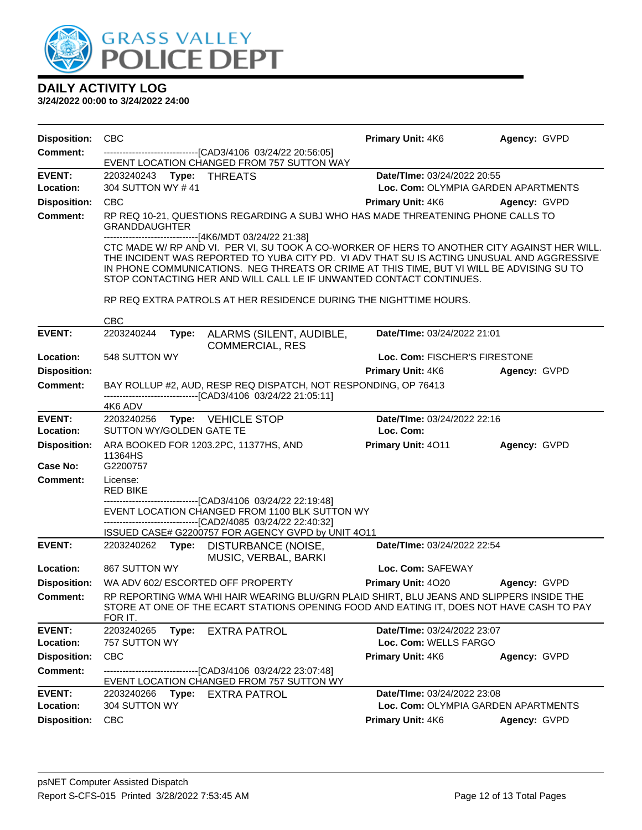

| <b>Disposition:</b>        | <b>CBC</b>                                                                                                                                                                                                                                                                                                                                                     | <b>Primary Unit: 4K6</b>                                                  | Agency: GVPD |  |  |  |
|----------------------------|----------------------------------------------------------------------------------------------------------------------------------------------------------------------------------------------------------------------------------------------------------------------------------------------------------------------------------------------------------------|---------------------------------------------------------------------------|--------------|--|--|--|
| <b>Comment:</b>            | --------------------------------[CAD3/4106 03/24/22 20:56:05]                                                                                                                                                                                                                                                                                                  |                                                                           |              |  |  |  |
|                            | EVENT LOCATION CHANGED FROM 757 SUTTON WAY                                                                                                                                                                                                                                                                                                                     |                                                                           |              |  |  |  |
| <b>EVENT:</b><br>Location: | 2203240243 Type: THREATS<br>304 SUTTON WY #41                                                                                                                                                                                                                                                                                                                  | <b>Date/TIme: 03/24/2022 20:55</b><br>Loc. Com: OLYMPIA GARDEN APARTMENTS |              |  |  |  |
| <b>Disposition:</b>        | <b>CBC</b>                                                                                                                                                                                                                                                                                                                                                     | <b>Primary Unit: 4K6</b>                                                  | Agency: GVPD |  |  |  |
| <b>Comment:</b>            | RP REQ 10-21, QUESTIONS REGARDING A SUBJ WHO HAS MADE THREATENING PHONE CALLS TO                                                                                                                                                                                                                                                                               |                                                                           |              |  |  |  |
|                            | <b>GRANDDAUGHTER</b><br>--------------------------------[4K6/MDT 03/24/22 21:38]                                                                                                                                                                                                                                                                               |                                                                           |              |  |  |  |
|                            | CTC MADE W/ RP AND VI. PER VI, SU TOOK A CO-WORKER OF HERS TO ANOTHER CITY AGAINST HER WILL.<br>THE INCIDENT WAS REPORTED TO YUBA CITY PD. VI ADV THAT SU IS ACTING UNUSUAL AND AGGRESSIVE<br>IN PHONE COMMUNICATIONS. NEG THREATS OR CRIME AT THIS TIME, BUT VI WILL BE ADVISING SU TO<br>STOP CONTACTING HER AND WILL CALL LE IF UNWANTED CONTACT CONTINUES. |                                                                           |              |  |  |  |
|                            | RP REQ EXTRA PATROLS AT HER RESIDENCE DURING THE NIGHTTIME HOURS.                                                                                                                                                                                                                                                                                              |                                                                           |              |  |  |  |
|                            | <b>CBC</b>                                                                                                                                                                                                                                                                                                                                                     |                                                                           |              |  |  |  |
| <b>EVENT:</b>              | 2203240244<br>Type:<br>ALARMS (SILENT, AUDIBLE,<br><b>COMMERCIAL, RES</b>                                                                                                                                                                                                                                                                                      | Date/TIme: 03/24/2022 21:01                                               |              |  |  |  |
| Location:                  | 548 SUTTON WY                                                                                                                                                                                                                                                                                                                                                  | Loc. Com: FISCHER'S FIRESTONE                                             |              |  |  |  |
| <b>Disposition:</b>        |                                                                                                                                                                                                                                                                                                                                                                | <b>Primary Unit: 4K6</b>                                                  | Agency: GVPD |  |  |  |
| <b>Comment:</b>            | BAY ROLLUP #2, AUD, RESP REQ DISPATCH, NOT RESPONDING, OP 76413<br>-------------------------------[CAD3/4106_03/24/22 21:05:11]                                                                                                                                                                                                                                |                                                                           |              |  |  |  |
|                            | 4K6 ADV                                                                                                                                                                                                                                                                                                                                                        |                                                                           |              |  |  |  |
| <b>EVENT:</b><br>Location: | 2203240256<br><b>Type: VEHICLE STOP</b><br>SUTTON WY/GOLDEN GATE TE                                                                                                                                                                                                                                                                                            | Date/TIme: 03/24/2022 22:16<br>Loc. Com:                                  |              |  |  |  |
| <b>Disposition:</b>        | ARA BOOKED FOR 1203.2PC, 11377HS, AND                                                                                                                                                                                                                                                                                                                          | Primary Unit: 4011                                                        | Agency: GVPD |  |  |  |
| Case No:                   | 11364HS<br>G2200757                                                                                                                                                                                                                                                                                                                                            |                                                                           |              |  |  |  |
| <b>Comment:</b>            | License:<br><b>RED BIKE</b>                                                                                                                                                                                                                                                                                                                                    |                                                                           |              |  |  |  |
|                            | --------------------------------[CAD3/4106_03/24/22 22:19:48]<br>EVENT LOCATION CHANGED FROM 1100 BLK SUTTON WY<br>------------------------------[CAD2/4085_03/24/22 22:40:32]                                                                                                                                                                                 |                                                                           |              |  |  |  |
|                            | ISSUED CASE# G2200757 FOR AGENCY GVPD by UNIT 4011                                                                                                                                                                                                                                                                                                             |                                                                           |              |  |  |  |
| <b>EVENT:</b>              | 2203240262 Type: DISTURBANCE (NOISE,<br>MUSIC, VERBAL, BARKI                                                                                                                                                                                                                                                                                                   | Date/TIme: 03/24/2022 22:54                                               |              |  |  |  |
| Location:                  | 867 SUTTON WY                                                                                                                                                                                                                                                                                                                                                  | Loc. Com: SAFEWAY                                                         |              |  |  |  |
| <b>Disposition:</b>        | WA ADV 602/ ESCORTED OFF PROPERTY                                                                                                                                                                                                                                                                                                                              | <b>Primary Unit: 4020</b>                                                 | Agency: GVPD |  |  |  |
| <b>Comment:</b>            | RP REPORTING WMA WHI HAIR WEARING BLU/GRN PLAID SHIRT, BLU JEANS AND SLIPPERS INSIDE THE<br>STORE AT ONE OF THE ECART STATIONS OPENING FOOD AND EATING IT, DOES NOT HAVE CASH TO PAY<br>FOR IT.                                                                                                                                                                |                                                                           |              |  |  |  |
| <b>EVENT:</b>              | 2203240265<br><b>EXTRA PATROL</b><br>Type:                                                                                                                                                                                                                                                                                                                     | Date/TIme: 03/24/2022 23:07                                               |              |  |  |  |
| Location:                  | 757 SUTTON WY                                                                                                                                                                                                                                                                                                                                                  | Loc. Com: WELLS FARGO                                                     |              |  |  |  |
| <b>Disposition:</b>        | CBC                                                                                                                                                                                                                                                                                                                                                            | Primary Unit: 4K6                                                         | Agency: GVPD |  |  |  |
| <b>Comment:</b>            | ------------------------[CAD3/4106_03/24/22_23:07:48]<br>EVENT LOCATION CHANGED FROM 757 SUTTON WY                                                                                                                                                                                                                                                             |                                                                           |              |  |  |  |
| <b>EVENT:</b>              | 2203240266<br>Type:<br><b>EXTRA PATROL</b>                                                                                                                                                                                                                                                                                                                     | Date/TIme: 03/24/2022 23:08                                               |              |  |  |  |
| Location:                  | 304 SUTTON WY                                                                                                                                                                                                                                                                                                                                                  | Loc. Com: OLYMPIA GARDEN APARTMENTS                                       |              |  |  |  |
| <b>Disposition:</b>        | <b>CBC</b>                                                                                                                                                                                                                                                                                                                                                     | Primary Unit: 4K6                                                         | Agency: GVPD |  |  |  |